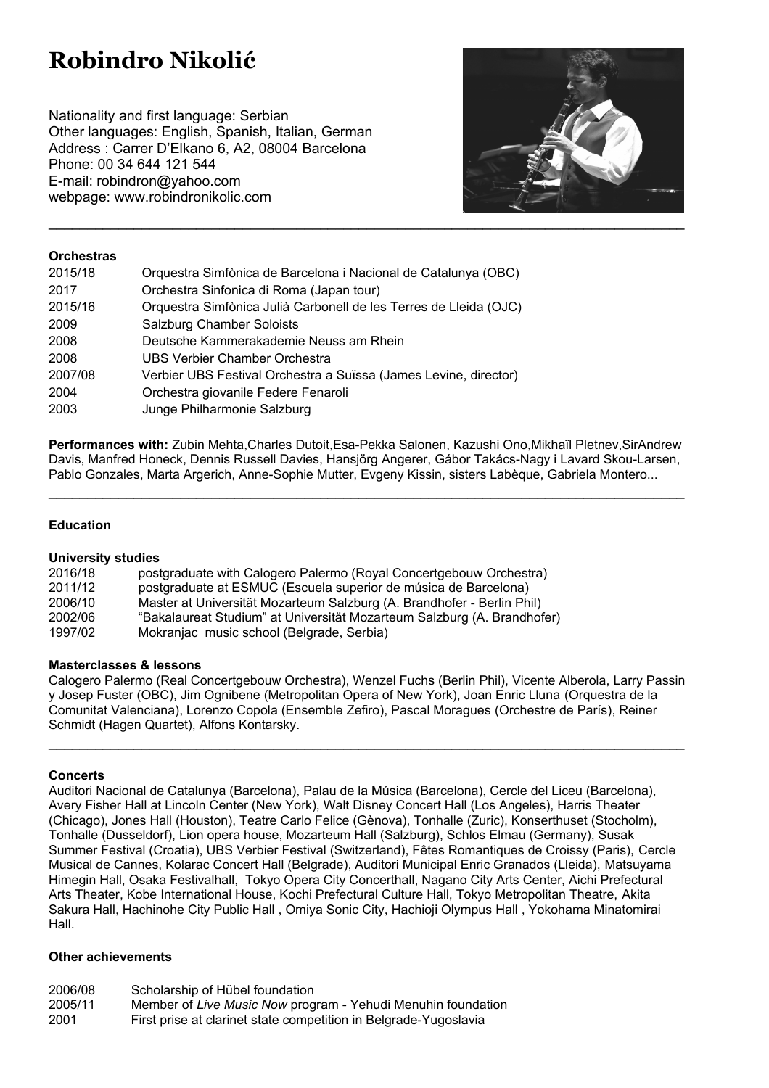# **Robindro Nikolić**

Nationality and first language: Serbian Other languages: English, Spanish, Italian, German Address : Carrer D'Elkano 6, A2, 08004 Barcelona Phone: 00 34 644 121 544 E-mail: robindron@yahoo.com webpage: www.robindronikolic.com



## **Orchestras**

| 2015/18 | Orquestra Simfònica de Barcelona i Nacional de Catalunya (OBC)    |
|---------|-------------------------------------------------------------------|
| 2017    | Orchestra Sinfonica di Roma (Japan tour)                          |
| 2015/16 | Orquestra Simfònica Julià Carbonell de les Terres de Lleida (OJC) |
| 2009    | Salzburg Chamber Soloists                                         |
| 2008    | Deutsche Kammerakademie Neuss am Rhein                            |
| 2008    | UBS Verbier Chamber Orchestra                                     |
| 2007/08 | Verbier UBS Festival Orchestra a Suïssa (James Levine, director)  |
| 2004    | Orchestra giovanile Federe Fenaroli                               |
| 2003    | Junge Philharmonie Salzburg                                       |

**Performances with:** Zubin Mehta,Charles Dutoit,Esa-Pekka Salonen, Kazushi Ono,Mikhaïl Pletnev,SirAndrew Davis, Manfred Honeck, Dennis Russell Davies, Hansjörg Angerer, Gábor Takács-Nagy i Lavard Skou-Larsen, Pablo Gonzales, Marta Argerich, Anne-Sophie Mutter, Evgeny Kissin, sisters Labèque, Gabriela Montero...

**\_\_\_\_\_\_\_\_\_\_\_\_\_\_\_\_\_\_\_\_\_\_\_\_\_\_\_\_\_\_\_\_\_\_\_\_\_\_\_\_\_\_\_\_\_\_\_\_\_\_\_\_\_\_\_\_\_\_\_\_\_\_\_\_\_\_\_\_\_\_\_\_\_\_\_\_\_\_\_\_\_\_**

## **Education**

## **University studies**

| 2016/18 | postgraduate with Calogero Palermo (Royal Concertgebouw Orchestra)      |
|---------|-------------------------------------------------------------------------|
| 2011/12 | postgraduate at ESMUC (Escuela superior de música de Barcelona)         |
| 2006/10 | Master at Universität Mozarteum Salzburg (A. Brandhofer - Berlin Phil)  |
| 2002/06 | "Bakalaureat Studium" at Universität Mozarteum Salzburg (A. Brandhofer) |
| 1997/02 | Mokranjac music school (Belgrade, Serbia)                               |
|         |                                                                         |

## **Masterclasses & lessons**

Calogero Palermo (Real Concertgebouw Orchestra), Wenzel Fuchs (Berlin Phil), Vicente Alberola, Larry Passin y Josep Fuster (OBC), Jim Ognibene (Metropolitan Opera of New York), Joan Enric Lluna (Orquestra de la Comunitat Valenciana), Lorenzo Copola (Ensemble Zefiro), Pascal Moragues (Orchestre de París), Reiner Schmidt (Hagen Quartet), Alfons Kontarsky.

**\_\_\_\_\_\_\_\_\_\_\_\_\_\_\_\_\_\_\_\_\_\_\_\_\_\_\_\_\_\_\_\_\_\_\_\_\_\_\_\_\_\_\_\_\_\_\_\_\_\_\_\_\_\_\_\_\_\_\_\_\_\_\_\_\_\_\_\_\_\_\_\_\_\_\_\_\_\_\_\_\_\_**

## **Concerts**

Auditori Nacional de Catalunya (Barcelona), Palau de la Música (Barcelona), Cercle del Liceu (Barcelona), Avery Fisher Hall at Lincoln Center (New York), Walt Disney Concert Hall (Los Angeles), Harris Theater (Chicago), Jones Hall (Houston), Teatre Carlo Felice (Gènova), Tonhalle (Zuric), Konserthuset (Stocholm), Tonhalle (Dusseldorf), Lion opera house, Mozarteum Hall (Salzburg), Schlos Elmau (Germany), Susak Summer Festival (Croatia), UBS Verbier Festival (Switzerland), Fêtes Romantiques de Croissy (Paris), Cercle Musical de Cannes, Kolarac Concert Hall (Belgrade), Auditori Municipal Enric Granados (Lleida), Matsuyama Himegin Hall, Osaka Festivalhall, Tokyo Opera City Concerthall, Nagano City Arts Center, Aichi Prefectural Arts Theater, Kobe International House, Kochi Prefectural Culture Hall, Tokyo Metropolitan Theatre, Akita Sakura Hall, Hachinohe City Public Hall , Omiya Sonic City, Hachioji Olympus Hall , Yokohama Minatomirai Hall.

## **Other achievements**

- 2006/08 Scholarship of Hübel foundation
- 2005/11 Member of *Live Music Now* program Yehudi Menuhin foundation
- 2001 First prise at clarinet state competition in Belgrade-Yugoslavia